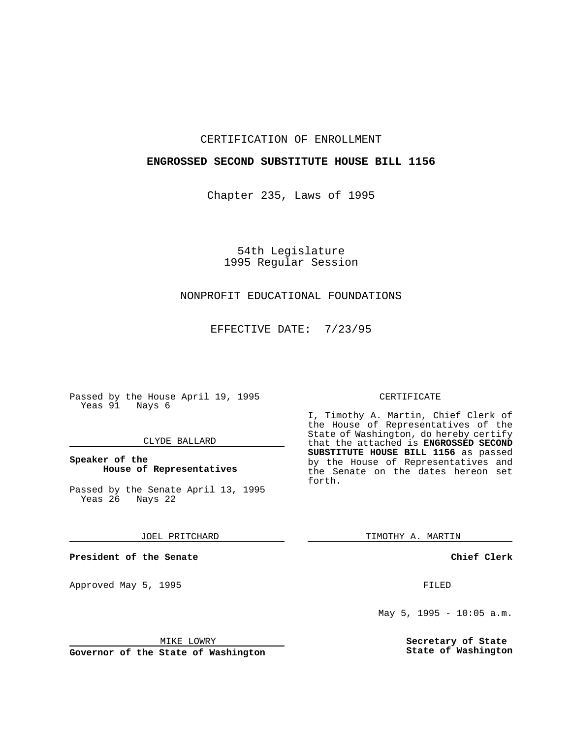## CERTIFICATION OF ENROLLMENT

## **ENGROSSED SECOND SUBSTITUTE HOUSE BILL 1156**

Chapter 235, Laws of 1995

54th Legislature 1995 Regular Session

# NONPROFIT EDUCATIONAL FOUNDATIONS

EFFECTIVE DATE: 7/23/95

Passed by the House April 19, 1995 Yeas 91 Nays 6

### CLYDE BALLARD

**Speaker of the House of Representatives**

Passed by the Senate April 13, 1995<br>Yeas 26 Nays 22 Yeas 26

JOEL PRITCHARD

**President of the Senate**

Approved May 5, 1995 **FILED** 

MIKE LOWRY

**Governor of the State of Washington**

#### CERTIFICATE

I, Timothy A. Martin, Chief Clerk of the House of Representatives of the State of Washington, do hereby certify that the attached is **ENGROSSED SECOND SUBSTITUTE HOUSE BILL 1156** as passed by the House of Representatives and the Senate on the dates hereon set forth.

TIMOTHY A. MARTIN

**Chief Clerk**

May  $5$ , 1995 - 10:05 a.m.

**Secretary of State State of Washington**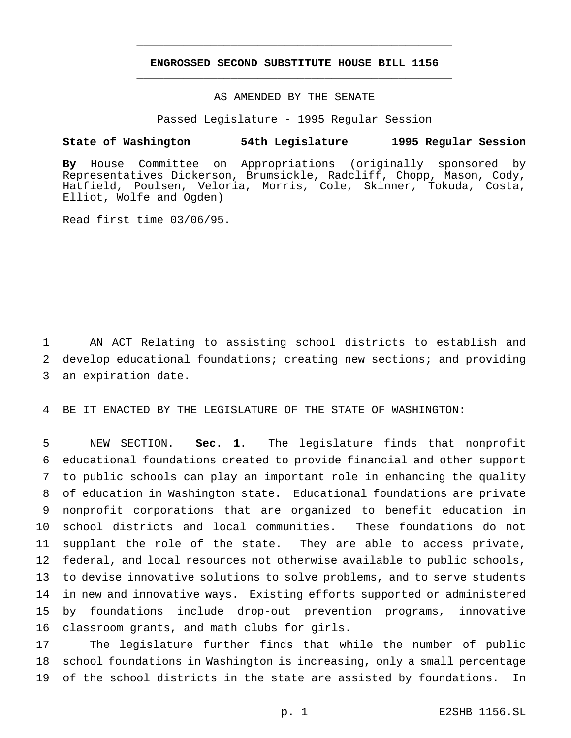## **ENGROSSED SECOND SUBSTITUTE HOUSE BILL 1156** \_\_\_\_\_\_\_\_\_\_\_\_\_\_\_\_\_\_\_\_\_\_\_\_\_\_\_\_\_\_\_\_\_\_\_\_\_\_\_\_\_\_\_\_\_\_\_

\_\_\_\_\_\_\_\_\_\_\_\_\_\_\_\_\_\_\_\_\_\_\_\_\_\_\_\_\_\_\_\_\_\_\_\_\_\_\_\_\_\_\_\_\_\_\_

## AS AMENDED BY THE SENATE

Passed Legislature - 1995 Regular Session

#### **State of Washington 54th Legislature 1995 Regular Session**

**By** House Committee on Appropriations (originally sponsored by Representatives Dickerson, Brumsickle, Radcliff, Chopp, Mason, Cody, Hatfield, Poulsen, Veloria, Morris, Cole, Skinner, Tokuda, Costa, Elliot, Wolfe and Ogden)

Read first time 03/06/95.

 AN ACT Relating to assisting school districts to establish and develop educational foundations; creating new sections; and providing an expiration date.

BE IT ENACTED BY THE LEGISLATURE OF THE STATE OF WASHINGTON:

 NEW SECTION. **Sec. 1.** The legislature finds that nonprofit educational foundations created to provide financial and other support to public schools can play an important role in enhancing the quality of education in Washington state. Educational foundations are private nonprofit corporations that are organized to benefit education in school districts and local communities. These foundations do not supplant the role of the state. They are able to access private, federal, and local resources not otherwise available to public schools, to devise innovative solutions to solve problems, and to serve students in new and innovative ways. Existing efforts supported or administered by foundations include drop-out prevention programs, innovative classroom grants, and math clubs for girls.

 The legislature further finds that while the number of public school foundations in Washington is increasing, only a small percentage of the school districts in the state are assisted by foundations. In